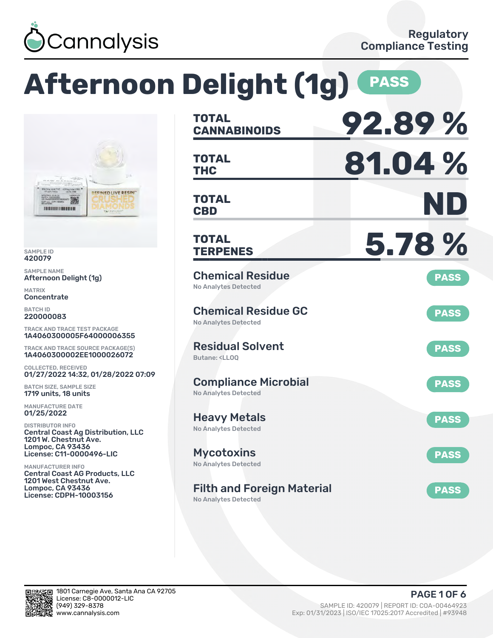

**REFINED LIVE RESIN'** 

# **Afternoon Delight (1g) PASS TOTAL**

SAMPLE ID 420079

SAMPLE NAME Afternoon Delight (1g)

302A072 馬尾 **THE UNITED STATES OF A** 

MATRIX Concentrate

BATCH ID 220000083

TRACK AND TRACE TEST PACKAGE 1A4060300005F64000006355

TRACK AND TRACE SOURCE PACKAGE(S) 1A4060300002EE1000026072

COLLECTED, RECEIVED 01/27/2022 14:32, 01/28/2022 07:09

BATCH SIZE, SAMPLE SIZE 1719 units, 18 units

MANUFACTURE DATE 01/25/2022

DISTRIBUTOR INFO Central Coast Ag Distribution, LLC 1201 W. Chestnut Ave. Lompoc, CA 93436 License: C11-0000496-LIC

MANUFACTURER INFO Central Coast AG Products, LLC 1201 West Chestnut Ave. Lompoc, CA 93436 License: CDPH-10003156

| <b>TOTAL</b><br><b>CANNABINOIDS</b>                                          | 92.89%      |
|------------------------------------------------------------------------------|-------------|
| <b>TOTAL</b><br><b>THC</b>                                                   | 81.04%      |
| <b>TOTAL</b><br><b>CBD</b>                                                   | ND          |
| <b>TOTAL</b><br><b>TERPENES</b>                                              | 5.78 %      |
| <b>Chemical Residue</b><br><b>No Analytes Detected</b>                       | <b>PASS</b> |
| <b>Chemical Residue GC</b><br><b>No Analytes Detected</b>                    | <b>PASS</b> |
| <b>Residual Solvent</b><br>Butane: <ll00< td=""><td><b>PASS</b></td></ll00<> | <b>PASS</b> |
| <b>Compliance Microbial</b><br><b>No Analytes Detected</b>                   | <b>PASS</b> |
| <b>Heavy Metals</b><br><b>No Analytes Detected</b>                           | <b>PASS</b> |
| <b>Mycotoxins</b><br>No Analytes Detected                                    | <b>PASS</b> |
| <b>Filth and Foreign Material</b>                                            | <b>PASS</b> |

No Analytes Detected

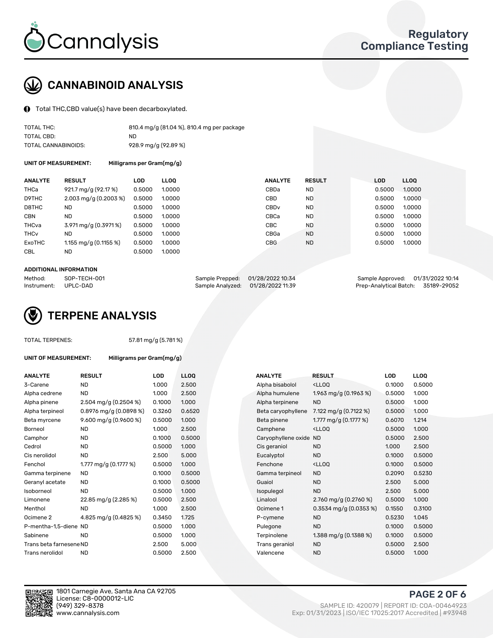

# CANNABINOID ANALYSIS

Total THC,CBD value(s) have been decarboxylated.

| TOTAL THC:          | 810.4 mg/g (81.04 %), 810.4 mg per package |
|---------------------|--------------------------------------------|
| TOTAL CBD:          | ND                                         |
| TOTAL CANNABINOIDS: | 928.9 mg/g (92.89 %)                       |

UNIT OF MEASUREMENT: Milligrams per Gram(mg/g)

| <b>ANALYTE</b>         | <b>RESULT</b>                      | <b>LOD</b> | <b>LLOO</b> | <b>ANALYTE</b>   | <b>RESULT</b> | <b>LOD</b> | LL <sub>00</sub> |
|------------------------|------------------------------------|------------|-------------|------------------|---------------|------------|------------------|
| THCa                   | 921.7 mg/g (92.17 %)               | 0.5000     | 1.0000      | CBDa             | <b>ND</b>     | 0.5000     | 1.0000           |
| D9THC                  | $2.003 \,\mathrm{mq/q}$ (0.2003 %) | 0.5000     | 1.0000      | <b>CBD</b>       | <b>ND</b>     | 0.5000     | 1.0000           |
| D8THC                  | ND.                                | 0.5000     | 1.0000      | CBD <sub>v</sub> | <b>ND</b>     | 0.5000     | 1.0000           |
| <b>CBN</b>             | <b>ND</b>                          | 0.5000     | 1.0000      | CBCa             | <b>ND</b>     | 0.5000     | 1.0000           |
| THCva                  | 3.971 mg/g (0.3971 %)              | 0.5000     | 1.0000      | <b>CBC</b>       | <b>ND</b>     | 0.5000     | 1.0000           |
| <b>THC<sub>v</sub></b> | ND.                                | 0.5000     | 1.0000      | CBGa             | <b>ND</b>     | 0.5000     | 1.0000           |
| ExoTHC                 | 1.155 mg/g $(0.1155\%)$            | 0.5000     | 1.0000      | <b>CBG</b>       | <b>ND</b>     | 0.5000     | 1.0000           |
| <b>CBL</b>             | ND.                                | 0.5000     | 1.0000      |                  |               |            |                  |

#### ADDITIONAL INFORMATION

| Method:     | SOP-TECH-001 |                                   | Sample Prepped: 01/28/2022 10:34 | Sample Approved: 01/31/2022 10:14  |  |
|-------------|--------------|-----------------------------------|----------------------------------|------------------------------------|--|
| Instrument: | UPLC-DAD     | Sample Analyzed: 01/28/2022 11:39 |                                  | Prep-Analytical Batch: 35189-29052 |  |



#### TOTAL TERPENES: 57.81 mg/g (5.781 %)

| <b>ANALYTE</b>          | <b>RESULT</b>             | <b>LOD</b> | <b>LLOQ</b> | <b>ANALYTE</b>         | <b>RESULT</b>                                      | <b>LOD</b> | <b>LLOQ</b> |
|-------------------------|---------------------------|------------|-------------|------------------------|----------------------------------------------------|------------|-------------|
| 3-Carene                | <b>ND</b>                 | 1.000      | 2.500       | Alpha bisabolol        | <lloq< td=""><td>0.1000</td><td>0.500</td></lloq<> | 0.1000     | 0.500       |
| Alpha cedrene           | <b>ND</b>                 | 1.000      | 2.500       | Alpha humulene         | 1.963 mg/g $(0.1963\%)$                            | 0.5000     | 1.000       |
| Alpha pinene            | 2.504 mg/g $(0.2504\%)$   | 0.1000     | 1.000       | Alpha terpinene        | <b>ND</b>                                          | 0.5000     | 1.000       |
| Alpha terpineol         | $0.8976$ mg/g $(0.0898%)$ | 0.3260     | 0.6520      | Beta caryophyllene     | 7.122 mg/g $(0.7122 \%)$                           | 0.5000     | 1.000       |
| Beta myrcene            | 9.600 mg/g $(0.9600\%)$   | 0.5000     | 1.000       | Beta pinene            | 1.777 mg/g $(0.1777%)$                             | 0.6070     | 1.214       |
| Borneol                 | <b>ND</b>                 | 1.000      | 2.500       | Camphene               | <lloq< td=""><td>0.5000</td><td>1.000</td></lloq<> | 0.5000     | 1.000       |
| Camphor                 | <b>ND</b>                 | 0.1000     | 0.5000      | Caryophyllene oxide ND |                                                    | 0.5000     | 2.500       |
| Cedrol                  | <b>ND</b>                 | 0.5000     | 1.000       | Cis geraniol           | <b>ND</b>                                          | 1.000      | 2.500       |
| Cis nerolidol           | <b>ND</b>                 | 2.500      | 5.000       | Eucalyptol             | <b>ND</b>                                          | 0.1000     | 0.500       |
| Fenchol                 | 1.777 mg/g $(0.1777%)$    | 0.5000     | 1.000       | Fenchone               | <lloq< td=""><td>0.1000</td><td>0.500</td></lloq<> | 0.1000     | 0.500       |
| Gamma terpinene         | <b>ND</b>                 | 0.1000     | 0.5000      | Gamma terpineol        | <b>ND</b>                                          | 0.2090     | 0.523       |
| Geranyl acetate         | <b>ND</b>                 | 0.1000     | 0.5000      | Guaiol                 | <b>ND</b>                                          | 2.500      | 5.000       |
| Isoborneol              | <b>ND</b>                 | 0.5000     | 1.000       | Isopulegol             | <b>ND</b>                                          | 2.500      | 5.000       |
| Limonene                | 22.85 mg/g (2.285 %)      | 0.5000     | 2.500       | Linalool               | 2.760 mg/g $(0.2760\%)$                            | 0.5000     | 1.000       |
| Menthol                 | <b>ND</b>                 | 1.000      | 2.500       | Ocimene 1              | $0.3534$ mg/g $(0.0353%)$                          | 0.1550     | 0.310       |
| Ocimene <sub>2</sub>    | 4.825 mg/g (0.4825 %)     | 0.3450     | 1.725       | P-cymene               | <b>ND</b>                                          | 0.5230     | 1.045       |
| P-mentha-1,5-diene ND   |                           | 0.5000     | 1.000       | Pulegone               | <b>ND</b>                                          | 0.1000     | 0.500       |
| Sabinene                | <b>ND</b>                 | 0.5000     | 1.000       | Terpinolene            | 1.388 mg/g $(0.1388\%)$                            | 0.1000     | 0.500       |
| Trans beta farnesene ND |                           | 2.500      | 5.000       | Trans geraniol         | <b>ND</b>                                          | 0.5000     | 2.500       |
| Trans nerolidol         | <b>ND</b>                 | 0.5000     | 2.500       | Valencene              | <b>ND</b>                                          | 0.5000     | 1.000       |

UNIT OF MEASUREMENT: Milligrams per Gram(mg/g)

| ANALYTE                 | <b>RESULT</b>             | <b>LOD</b> | <b>LLOQ</b> | ANALYTE                | <b>RESULT</b>                                       | <b>LOD</b> | <b>LLOQ</b> |
|-------------------------|---------------------------|------------|-------------|------------------------|-----------------------------------------------------|------------|-------------|
| 3-Carene                | <b>ND</b>                 | 1.000      | 2.500       | Alpha bisabolol        | <ll0q< td=""><td>0.1000</td><td>0.5000</td></ll0q<> | 0.1000     | 0.5000      |
| Alpha cedrene           | <b>ND</b>                 | 1.000      | 2.500       | Alpha humulene         | 1.963 mg/g $(0.1963\%)$                             | 0.5000     | 1.000       |
| Alpha pinene            | $2.504$ mg/g (0.2504 %)   | 0.1000     | 1.000       | Alpha terpinene        | <b>ND</b>                                           | 0.5000     | 1.000       |
| Alpha terpineol         | $0.8976$ mg/g $(0.0898%)$ | 0.3260     | 0.6520      | Beta caryophyllene     | 7.122 mg/g $(0.7122 \%)$                            | 0.5000     | 1.000       |
| Beta myrcene            | 9.600 mg/g $(0.9600\%)$   | 0.5000     | 1.000       | Beta pinene            | 1.777 mg/g $(0.1777%)$                              | 0.6070     | 1.214       |
| Borneol                 | <b>ND</b>                 | 1.000      | 2.500       | Camphene               | <ll0q< td=""><td>0.5000</td><td>1.000</td></ll0q<>  | 0.5000     | 1.000       |
| Camphor                 | ND                        | 0.1000     | 0.5000      | Caryophyllene oxide ND |                                                     | 0.5000     | 2.500       |
| Cedrol                  | <b>ND</b>                 | 0.5000     | 1.000       | Cis geraniol           | <b>ND</b>                                           | 1.000      | 2.500       |
| Cis nerolidol           | <b>ND</b>                 | 2.500      | 5.000       | Eucalyptol             | <b>ND</b>                                           | 0.1000     | 0.5000      |
| Fenchol                 | 1.777 mg/g $(0.1777%)$    | 0.5000     | 1.000       | Fenchone               | <ll0q< td=""><td>0.1000</td><td>0.5000</td></ll0q<> | 0.1000     | 0.5000      |
| Gamma terpinene         | ND.                       | 0.1000     | 0.5000      | Gamma terpineol        | <b>ND</b>                                           | 0.2090     | 0.5230      |
| Geranyl acetate         | ND.                       | 0.1000     | 0.5000      | Guaiol                 | <b>ND</b>                                           | 2.500      | 5.000       |
| Isoborneol              | <b>ND</b>                 | 0.5000     | 1.000       | Isopulegol             | <b>ND</b>                                           | 2.500      | 5.000       |
| Limonene                | 22.85 mg/g (2.285 %)      | 0.5000     | 2.500       | Linalool               | 2.760 mg/g $(0.2760\%)$                             | 0.5000     | 1.000       |
| Menthol                 | <b>ND</b>                 | 1.000      | 2.500       | Ocimene 1              | $0.3534$ mg/g $(0.0353%)$                           | 0.1550     | 0.3100      |
| Ocimene 2               | 4.825 mg/g (0.4825 %)     | 0.3450     | 1.725       | P-cymene               | <b>ND</b>                                           | 0.5230     | 1.045       |
| P-mentha-1,5-diene ND   |                           | 0.5000     | 1.000       | Pulegone               | <b>ND</b>                                           | 0.1000     | 0.5000      |
| Sabinene                | <b>ND</b>                 | 0.5000     | 1.000       | Terpinolene            | 1.388 mg/g $(0.1388\%)$                             | 0.1000     | 0.5000      |
| Trans beta farnesene ND |                           | 2.500      | 5.000       | Trans geraniol         | <b>ND</b>                                           | 0.5000     | 2.500       |
| Trans nerolidol         | ND.                       | n snnn     | 2500        | Valencene              | ND.                                                 | n 5000     | 1000        |



PAGE 2 OF 6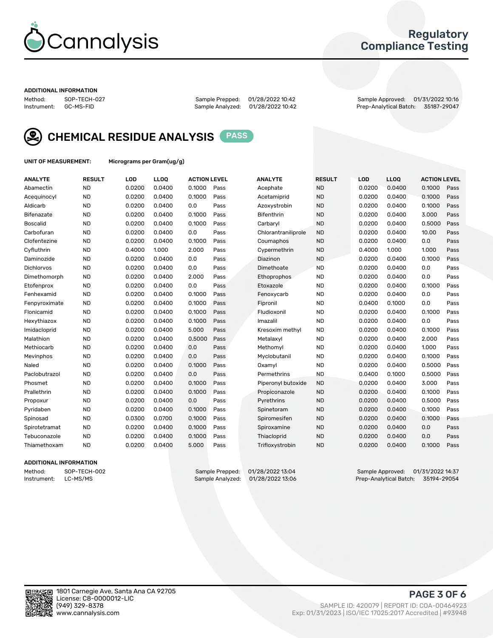

## Regulatory Compliance Testing

#### ADDITIONAL INFORMATION

Sample Analyzed: 01/28/2022 10:42

Method: SOP-TECH-027 Sample Prepped: 01/28/2022 10:42 Sample Approved: 01/31/2022 10:16



CHEMICAL RESIDUE ANALYSIS PASS

UNIT OF MEASUREMENT: Micrograms per Gram(ug/g)

| <b>ANALYTE</b>    | <b>RESULT</b> | LOD    | LL <sub>OO</sub> | <b>ACTION LEVEL</b> |      | <b>ANALYTE</b>      | <b>RESULT</b> | <b>LOD</b> | <b>LLOQ</b> | <b>ACTION LEVEL</b> |      |
|-------------------|---------------|--------|------------------|---------------------|------|---------------------|---------------|------------|-------------|---------------------|------|
| Abamectin         | <b>ND</b>     | 0.0200 | 0.0400           | 0.1000              | Pass | Acephate            | <b>ND</b>     | 0.0200     | 0.0400      | 0.1000              | Pass |
| Acequinocyl       | <b>ND</b>     | 0.0200 | 0.0400           | 0.1000              | Pass | Acetamiprid         | <b>ND</b>     | 0.0200     | 0.0400      | 0.1000              | Pass |
| Aldicarb          | <b>ND</b>     | 0.0200 | 0.0400           | 0.0                 | Pass | Azoxystrobin        | <b>ND</b>     | 0.0200     | 0.0400      | 0.1000              | Pass |
| Bifenazate        | <b>ND</b>     | 0.0200 | 0.0400           | 0.1000              | Pass | <b>Bifenthrin</b>   | <b>ND</b>     | 0.0200     | 0.0400      | 3.000               | Pass |
| <b>Boscalid</b>   | <b>ND</b>     | 0.0200 | 0.0400           | 0.1000              | Pass | Carbaryl            | <b>ND</b>     | 0.0200     | 0.0400      | 0.5000              | Pass |
| Carbofuran        | <b>ND</b>     | 0.0200 | 0.0400           | 0.0                 | Pass | Chlorantraniliprole | <b>ND</b>     | 0.0200     | 0.0400      | 10.00               | Pass |
| Clofentezine      | <b>ND</b>     | 0.0200 | 0.0400           | 0.1000              | Pass | Coumaphos           | <b>ND</b>     | 0.0200     | 0.0400      | 0.0                 | Pass |
| Cyfluthrin        | <b>ND</b>     | 0.4000 | 1.000            | 2.000               | Pass | Cypermethrin        | <b>ND</b>     | 0.4000     | 1.000       | 1.000               | Pass |
| Daminozide        | <b>ND</b>     | 0.0200 | 0.0400           | 0.0                 | Pass | Diazinon            | <b>ND</b>     | 0.0200     | 0.0400      | 0.1000              | Pass |
| <b>Dichlorvos</b> | <b>ND</b>     | 0.0200 | 0.0400           | 0.0                 | Pass | Dimethoate          | <b>ND</b>     | 0.0200     | 0.0400      | 0.0                 | Pass |
| Dimethomorph      | <b>ND</b>     | 0.0200 | 0.0400           | 2.000               | Pass | Ethoprophos         | <b>ND</b>     | 0.0200     | 0.0400      | 0.0                 | Pass |
| Etofenprox        | <b>ND</b>     | 0.0200 | 0.0400           | 0.0                 | Pass | Etoxazole           | <b>ND</b>     | 0.0200     | 0.0400      | 0.1000              | Pass |
| Fenhexamid        | <b>ND</b>     | 0.0200 | 0.0400           | 0.1000              | Pass | Fenoxycarb          | <b>ND</b>     | 0.0200     | 0.0400      | 0.0                 | Pass |
| Fenpyroximate     | <b>ND</b>     | 0.0200 | 0.0400           | 0.1000              | Pass | Fipronil            | <b>ND</b>     | 0.0400     | 0.1000      | 0.0                 | Pass |
| Flonicamid        | <b>ND</b>     | 0.0200 | 0.0400           | 0.1000              | Pass | Fludioxonil         | <b>ND</b>     | 0.0200     | 0.0400      | 0.1000              | Pass |
| Hexythiazox       | <b>ND</b>     | 0.0200 | 0.0400           | 0.1000              | Pass | Imazalil            | <b>ND</b>     | 0.0200     | 0.0400      | 0.0                 | Pass |
| Imidacloprid      | <b>ND</b>     | 0.0200 | 0.0400           | 5.000               | Pass | Kresoxim methyl     | <b>ND</b>     | 0.0200     | 0.0400      | 0.1000              | Pass |
| Malathion         | <b>ND</b>     | 0.0200 | 0.0400           | 0.5000              | Pass | Metalaxyl           | <b>ND</b>     | 0.0200     | 0.0400      | 2.000               | Pass |
| Methiocarb        | <b>ND</b>     | 0.0200 | 0.0400           | 0.0                 | Pass | Methomyl            | <b>ND</b>     | 0.0200     | 0.0400      | 1.000               | Pass |
| Mevinphos         | <b>ND</b>     | 0.0200 | 0.0400           | 0.0                 | Pass | Myclobutanil        | <b>ND</b>     | 0.0200     | 0.0400      | 0.1000              | Pass |
| Naled             | <b>ND</b>     | 0.0200 | 0.0400           | 0.1000              | Pass | Oxamyl              | <b>ND</b>     | 0.0200     | 0.0400      | 0.5000              | Pass |
| Paclobutrazol     | <b>ND</b>     | 0.0200 | 0.0400           | 0.0                 | Pass | Permethrins         | <b>ND</b>     | 0.0400     | 0.1000      | 0.5000              | Pass |
| Phosmet           | <b>ND</b>     | 0.0200 | 0.0400           | 0.1000              | Pass | Piperonyl butoxide  | <b>ND</b>     | 0.0200     | 0.0400      | 3.000               | Pass |
| Prallethrin       | <b>ND</b>     | 0.0200 | 0.0400           | 0.1000              | Pass | Propiconazole       | <b>ND</b>     | 0.0200     | 0.0400      | 0.1000              | Pass |
| Propoxur          | <b>ND</b>     | 0.0200 | 0.0400           | 0.0                 | Pass | Pyrethrins          | <b>ND</b>     | 0.0200     | 0.0400      | 0.5000              | Pass |
| Pyridaben         | <b>ND</b>     | 0.0200 | 0.0400           | 0.1000              | Pass | Spinetoram          | <b>ND</b>     | 0.0200     | 0.0400      | 0.1000              | Pass |
| Spinosad          | <b>ND</b>     | 0.0300 | 0.0700           | 0.1000              | Pass | Spiromesifen        | <b>ND</b>     | 0.0200     | 0.0400      | 0.1000              | Pass |
| Spirotetramat     | <b>ND</b>     | 0.0200 | 0.0400           | 0.1000              | Pass | Spiroxamine         | <b>ND</b>     | 0.0200     | 0.0400      | 0.0                 | Pass |
| Tebuconazole      | <b>ND</b>     | 0.0200 | 0.0400           | 0.1000              | Pass | Thiacloprid         | <b>ND</b>     | 0.0200     | 0.0400      | 0.0                 | Pass |
| Thiamethoxam      | <b>ND</b>     | 0.0200 | 0.0400           | 5.000               | Pass | Trifloxystrobin     | <b>ND</b>     | 0.0200     | 0.0400      | 0.1000              | Pass |
|                   |               |        |                  |                     |      |                     |               |            |             |                     |      |

### ADDITIONAL INFORMATION

Method: SOP-TECH-002 Sample Prepped: 01/28/2022 13:04 Sample Approved: 01/31/2022 14:37<br>11.57194-29054 Instrument: LC-MS/MS Sample Analytical Batch: 35194-29054 Prep-Analytical Batch: 35194-29054

PAGE 3 OF 6

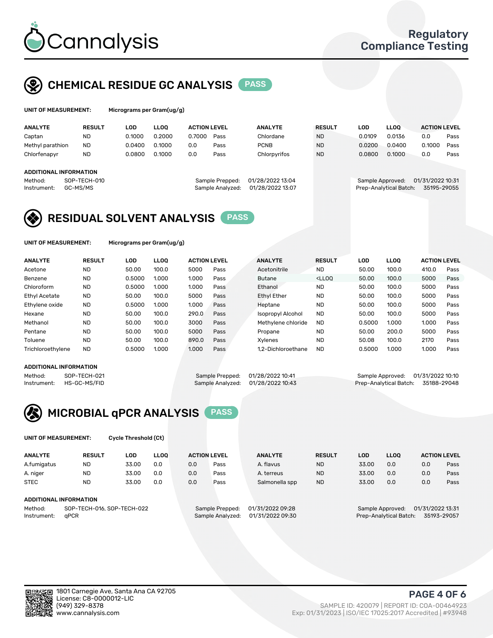

## CHEMICAL RESIDUE GC ANALYSIS PASS

| UNIT OF MEASUREMENT: | Micrograms pe |
|----------------------|---------------|
|                      |               |

er Gram(ug/g)

| <b>ANALYTE</b>                                   | <b>RESULT</b>            | LOD    | <b>LLOO</b> | <b>ACTION LEVEL</b> |                                     | <b>ANALYTE</b>                       | <b>RESULT</b> | LOD              | <b>LLOO</b>            | <b>ACTION LEVEL</b>             |      |
|--------------------------------------------------|--------------------------|--------|-------------|---------------------|-------------------------------------|--------------------------------------|---------------|------------------|------------------------|---------------------------------|------|
| Captan                                           | <b>ND</b>                | 0.1000 | 0.2000      | 0.7000              | Pass                                | Chlordane                            | <b>ND</b>     | 0.0109           | 0.0136                 | 0.0                             | Pass |
| Methyl parathion                                 | <b>ND</b>                | 0.0400 | 0.1000      | 0.0                 | Pass                                | <b>PCNB</b>                          | <b>ND</b>     | 0.0200           | 0.0400                 | 0.1000                          | Pass |
| Chlorfenapyr                                     | <b>ND</b>                | 0.0800 | 0.1000      | 0.0                 | Pass                                | Chlorpyrifos                         | <b>ND</b>     | 0.0800           | 0.1000                 | 0.0                             | Pass |
| ADDITIONAL INFORMATION<br>Method:<br>Instrument: | SOP-TECH-010<br>GC-MS/MS |        |             |                     | Sample Prepped:<br>Sample Analyzed: | 01/28/2022 13:04<br>01/28/2022 13:07 |               | Sample Approved: | Prep-Analytical Batch: | 01/31/2022 10:31<br>35195-29055 |      |
|                                                  |                          |        |             |                     |                                     |                                      |               |                  |                        |                                 |      |

## RESIDUAL SOLVENT ANALYSIS PASS

UNIT OF MEASUREMENT: Micrograms per Gram(ug/g)

| <b>ANALYTE</b>       | <b>RESULT</b> | LOD    | <b>LLOO</b> | <b>ACTION LEVEL</b> |      | <b>ANALYTE</b>           | <b>RESULT</b>                                                               | LOD    | <b>LLOO</b> | <b>ACTION LEVEL</b> |      |
|----------------------|---------------|--------|-------------|---------------------|------|--------------------------|-----------------------------------------------------------------------------|--------|-------------|---------------------|------|
| Acetone              | <b>ND</b>     | 50.00  | 100.0       | 5000                | Pass | Acetonitrile             | <b>ND</b>                                                                   | 50.00  | 100.0       | 410.0               | Pass |
| Benzene              | <b>ND</b>     | 0.5000 | 1.000       | 1.000               | Pass | <b>Butane</b>            | <lloo< td=""><td>50.00</td><td>100.0</td><td>5000</td><td>Pass</td></lloo<> | 50.00  | 100.0       | 5000                | Pass |
| Chloroform           | <b>ND</b>     | 0.5000 | 1.000       | 1.000               | Pass | Ethanol                  | <b>ND</b>                                                                   | 50.00  | 100.0       | 5000                | Pass |
| <b>Ethyl Acetate</b> | <b>ND</b>     | 50.00  | 100.0       | 5000                | Pass | <b>Ethyl Ether</b>       | <b>ND</b>                                                                   | 50.00  | 100.0       | 5000                | Pass |
| Ethylene oxide       | <b>ND</b>     | 0.5000 | 1.000       | 1.000               | Pass | Heptane                  | <b>ND</b>                                                                   | 50.00  | 100.0       | 5000                | Pass |
| Hexane               | <b>ND</b>     | 50.00  | 100.0       | 290.0               | Pass | <b>Isopropyl Alcohol</b> | <b>ND</b>                                                                   | 50.00  | 100.0       | 5000                | Pass |
| Methanol             | <b>ND</b>     | 50.00  | 100.0       | 3000                | Pass | Methylene chloride       | <b>ND</b>                                                                   | 0.5000 | 1.000       | 1.000               | Pass |
| Pentane              | <b>ND</b>     | 50.00  | 100.0       | 5000                | Pass | Propane                  | <b>ND</b>                                                                   | 50.00  | 200.0       | 5000                | Pass |
| Toluene              | <b>ND</b>     | 50.00  | 100.0       | 890.0               | Pass | Xvlenes                  | <b>ND</b>                                                                   | 50.08  | 100.0       | 2170                | Pass |
| Trichloroethylene    | <b>ND</b>     | 0.5000 | 1.000       | 1.000               | Pass | 1.2-Dichloroethane       | <b>ND</b>                                                                   | 0.5000 | 1.000       | 1.000               | Pass |

### ADDITIONAL INFORMATION

|             | ADDITIONAL INFORMATION |                                   |                                    |
|-------------|------------------------|-----------------------------------|------------------------------------|
| Method:     | SOP-TECH-021           | Sample Prepped: 01/28/2022 10:41  | Sample Approved: 01/31/2022 10:10  |
| Instrument: | HS-GC-MS/FID           | Sample Analyzed: 01/28/2022 10:43 | Prep-Analytical Batch: 35188-29048 |



UNIT OF MEASUREMENT: Cycle Threshold (Ct)

| <b>ANALYTE</b> | <b>RESULT</b>              | LOD   | <b>LLOO</b> |     | <b>ACTION LEVEL</b> | <b>ANALYTE</b>   | <b>RESULT</b> | LOD   | <b>LLOO</b>      |                  | <b>ACTION LEVEL</b> |
|----------------|----------------------------|-------|-------------|-----|---------------------|------------------|---------------|-------|------------------|------------------|---------------------|
| A.fumigatus    | <b>ND</b>                  | 33.00 | 0.0         | 0.0 | Pass                | A. flavus        | <b>ND</b>     | 33.00 | 0.0              | 0.0              | Pass                |
| A. niger       | <b>ND</b>                  | 33.00 | 0.0         | 0.0 | Pass                | A. terreus       | <b>ND</b>     | 33.00 | 0.0              | 0.0              | Pass                |
| <b>STEC</b>    | <b>ND</b>                  | 33.00 | 0.0         | 0.0 | Pass                | Salmonella spp   | <b>ND</b>     | 33.00 | 0.0              | 0.0              | Pass                |
|                | ADDITIONAL INFORMATION     |       |             |     |                     |                  |               |       |                  |                  |                     |
| Method:        | SOP-TECH-016, SOP-TECH-022 |       |             |     | Sample Prepped:     | 01/31/2022 09:28 |               |       | Sample Approved: | 01/31/2022 13:31 |                     |

Instrument: qPCR Sample Analyzed: 01/31/2022 09:30 Prep-Analytical Batch: 35193-29057

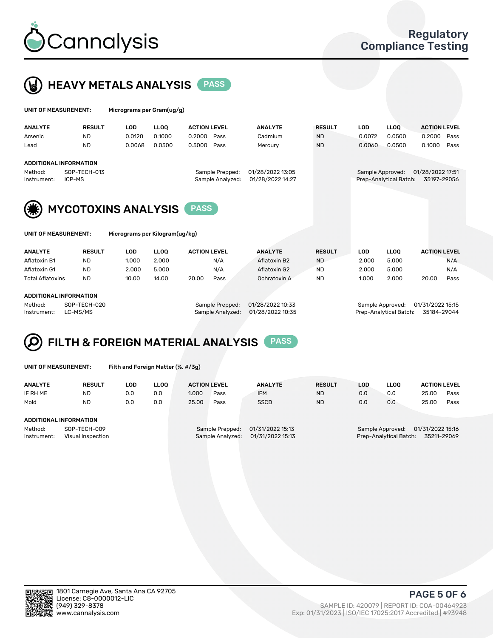



| UNIT OF MEASUREMENT:   |                               | Micrograms per Gram(ug/g) |             |                     |                                     |                                      |               |            |                                            |                                 |      |
|------------------------|-------------------------------|---------------------------|-------------|---------------------|-------------------------------------|--------------------------------------|---------------|------------|--------------------------------------------|---------------------------------|------|
| <b>ANALYTE</b>         | <b>RESULT</b>                 | <b>LOD</b>                | <b>LLOO</b> | <b>ACTION LEVEL</b> |                                     | <b>ANALYTE</b>                       | <b>RESULT</b> | <b>LOD</b> | <b>LLOQ</b>                                | <b>ACTION LEVEL</b>             |      |
| Arsenic                | <b>ND</b>                     | 0.0120                    | 0.1000      | 0.2000 Pass         |                                     | Cadmium                              | <b>ND</b>     | 0.0072     | 0.0500                                     | 0.2000                          | Pass |
| Lead                   | <b>ND</b>                     | 0.0068                    | 0.0500      | 0.5000              | Pass                                | Mercury                              | <b>ND</b>     | 0.0060     | 0.0500                                     | 0.1000                          | Pass |
|                        | <b>ADDITIONAL INFORMATION</b> |                           |             |                     |                                     |                                      |               |            |                                            |                                 |      |
| Method:<br>Instrument: | SOP-TECH-013<br>ICP-MS        |                           |             |                     | Sample Prepped:<br>Sample Analyzed: | 01/28/2022 13:05<br>01/28/2022 14:27 |               |            | Sample Approved:<br>Prep-Analytical Batch: | 01/28/2022 17:51<br>35197-29056 |      |
| (纂)                    | <b>MYCOTOXINS ANALYSIS</b>    |                           |             | <b>PASS</b>         |                                     |                                      |               |            |                                            |                                 |      |

|  | UNIT OF MEASUREMENT: |  |
|--|----------------------|--|
|--|----------------------|--|

Micrograms per Kilogram(ug/kg)

| <b>ANALYTE</b>          | <b>RESULT</b> | LOD   | LLOO  | <b>ACTION LEVEL</b> |      | <b>ANALYTE</b> | <b>RESULT</b> | LOD   | <b>LLOO</b> | <b>ACTION LEVEL</b> |      |
|-------------------------|---------------|-------|-------|---------------------|------|----------------|---------------|-------|-------------|---------------------|------|
| Aflatoxin B1            | <b>ND</b>     | 1.000 | 2.000 |                     | N/A  | Aflatoxin B2   | <b>ND</b>     | 2.000 | 5.000       |                     | N/A  |
| Aflatoxin G1            | <b>ND</b>     | 2.000 | 5.000 |                     | N/A  | Aflatoxin G2   | <b>ND</b>     | 2.000 | 5.000       |                     | N/A  |
| <b>Total Aflatoxins</b> | <b>ND</b>     | 10.00 | 14.00 | 20.00               | Pass | Ochratoxin A   | <b>ND</b>     | 1.000 | 2.000       | 20.00               | Pass |
|                         |               |       |       |                     |      |                |               |       |             |                     |      |
|                         |               |       |       |                     |      |                |               |       |             |                     |      |

#### ADDITIONAL INFORMATION

Method: SOP-TECH-020 Sample Prepped: 01/28/2022 10:33 Sample Approved: 01/31/2022 15:15 Instrument: LC-MS/MS Sample Analyzed: 01/28/2022 10:35 Prep-Analytical Batch: 35184-29044

# FILTH & FOREIGN MATERIAL ANALYSIS PASS

UNIT OF MEASUREMENT: Filth and Foreign Matter (%, #/3g)

| <b>ANALYTE</b>                                              | <b>RESULT</b> | LOD | <b>LLOO</b> | <b>ACTION LEVEL</b> |                                     | <b>ANALYTE</b>                       | <b>RESULT</b>                                          | LOD | LLOO | <b>ACTION LEVEL</b> |      |
|-------------------------------------------------------------|---------------|-----|-------------|---------------------|-------------------------------------|--------------------------------------|--------------------------------------------------------|-----|------|---------------------|------|
| IF RH ME                                                    | <b>ND</b>     | 0.0 | 0.0         | 1.000               | Pass                                | <b>IFM</b>                           | <b>ND</b>                                              | 0.0 | 0.0  | 25.00               | Pass |
| Mold                                                        | <b>ND</b>     | 0.0 | 0.0         | 25.00               | Pass                                | <b>SSCD</b>                          | <b>ND</b>                                              | 0.0 | 0.0  | 25.00               | Pass |
| <b>ADDITIONAL INFORMATION</b>                               |               |     |             |                     |                                     |                                      |                                                        |     |      |                     |      |
| Method:<br>SOP-TECH-009<br>Instrument:<br>Visual Inspection |               |     |             |                     | Sample Prepped:<br>Sample Analyzed: | 01/31/2022 15:13<br>01/31/2022 15:13 | Sample Approved:<br>Prep-Analytical Batch: 35211-29069 |     |      | 01/31/2022 15:16    |      |